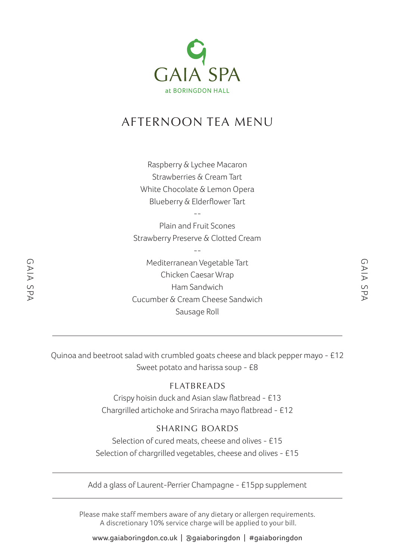

# AFTERNOON TEA MENU

Raspberry & Lychee Macaron Strawberries & Cream Tart White Chocolate & Lemon Opera Blueberry & Elderflower Tart

-- Plain and Fruit Scones Strawberry Preserve & Clotted Cream

--

Mediterranean Vegetable Tart Chicken Caesar Wrap Ham Sandwich Cucumber & Cream Cheese Sandwich Sausage Roll

Quinoa and beetroot salad with crumbled goats cheese and black pepper mayo - £12 Sweet potato and harissa soup - £8

### FLATBREADS

Crispy hoisin duck and Asian slaw flatbread - £13 Chargrilled artichoke and Sriracha mayo flatbread - £12

### SHARING BOARDS

Selection of cured meats, cheese and olives - £15 Selection of chargrilled vegetables, cheese and olives - £15

Add a glass of Laurent-Perrier Champagne - £15pp supplement

Please make staff members aware of any dietary or allergen requirements. A discretionary 10% service charge will be applied to your bill.

www.gaiaboringdon.co.uk | @gaiaboringdon | #gaiaboringdon